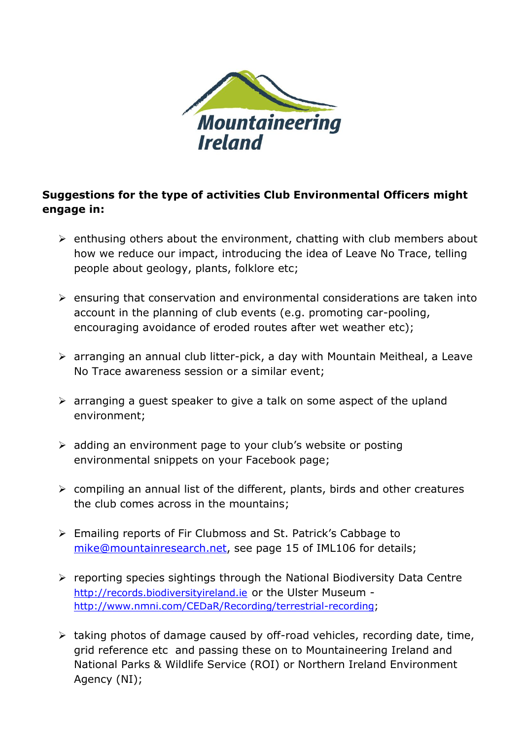

## **Suggestions for the type of activities Club Environmental Officers might engage in:**

- $\triangleright$  enthusing others about the environment, chatting with club members about how we reduce our impact, introducing the idea of Leave No Trace, telling people about geology, plants, folklore etc;
- $\triangleright$  ensuring that conservation and environmental considerations are taken into account in the planning of club events (e.g. promoting car-pooling, encouraging avoidance of eroded routes after wet weather etc);
- arranging an annual club litter-pick, a day with Mountain Meitheal, a Leave No Trace awareness session or a similar event;
- $\triangleright$  arranging a quest speaker to give a talk on some aspect of the upland environment;
- $\triangleright$  adding an environment page to your club's website or posting environmental snippets on your Facebook page;
- $\triangleright$  compiling an annual list of the different, plants, birds and other creatures the club comes across in the mountains;
- Emailing reports of Fir Clubmoss and St. Patrick's Cabbage to [mike@mountainresearch.net,](mailto:mike@mountainresearch.net) see page 15 of IML106 for details;
- $\triangleright$  reporting species sightings through the National Biodiversity Data Centre [http://records.biodiversityireland.ie](http://records.biodiversityireland.ie/) or the Ulster Museum [http://www.nmni.com/CEDaR/Recording/terrestrial-recording;](http://www.nmni.com/CEDaR/Recording/terrestrial-recording)
- $\triangleright$  taking photos of damage caused by off-road vehicles, recording date, time, grid reference etc and passing these on to Mountaineering Ireland and National Parks & Wildlife Service (ROI) or Northern Ireland Environment Agency (NI);